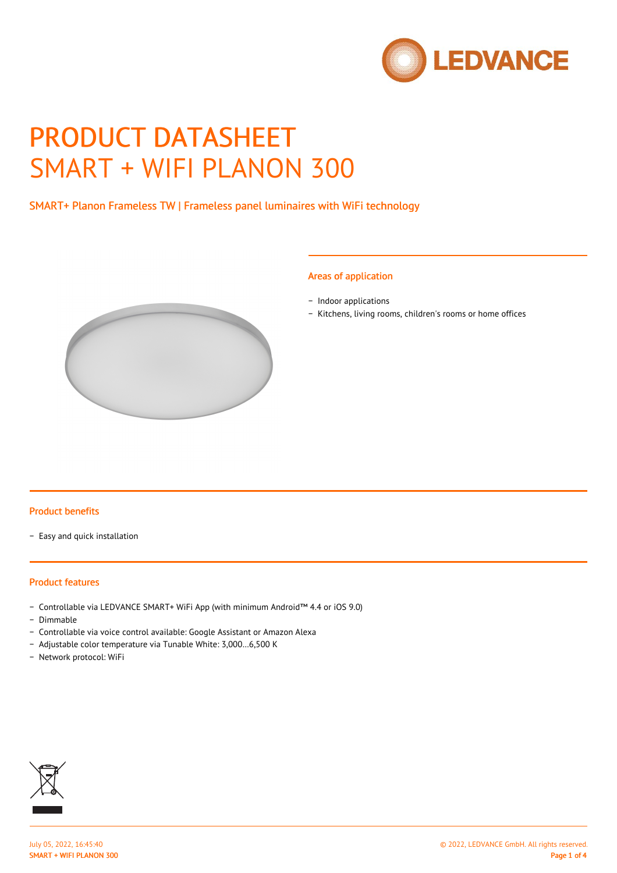

# PRODUCT DATASHEET SMART + WIFI PLANON 300

## SMART+ Planon Frameless TW | Frameless panel luminaires with WiFi technology

#### Areas of application

- − Indoor applications
- − Kitchens, living rooms, children's rooms or home offices



## Product benefits

− Easy and quick installation

#### Product features

- − Controllable via LEDVANCE SMART+ WiFi App (with minimum Android™ 4.4 or iOS 9.0)
- − Dimmable
- − Controllable via voice control available: Google Assistant or Amazon Alexa
- − Adjustable color temperature via Tunable White: 3,000…6,500 K
- − Network protocol: WiFi

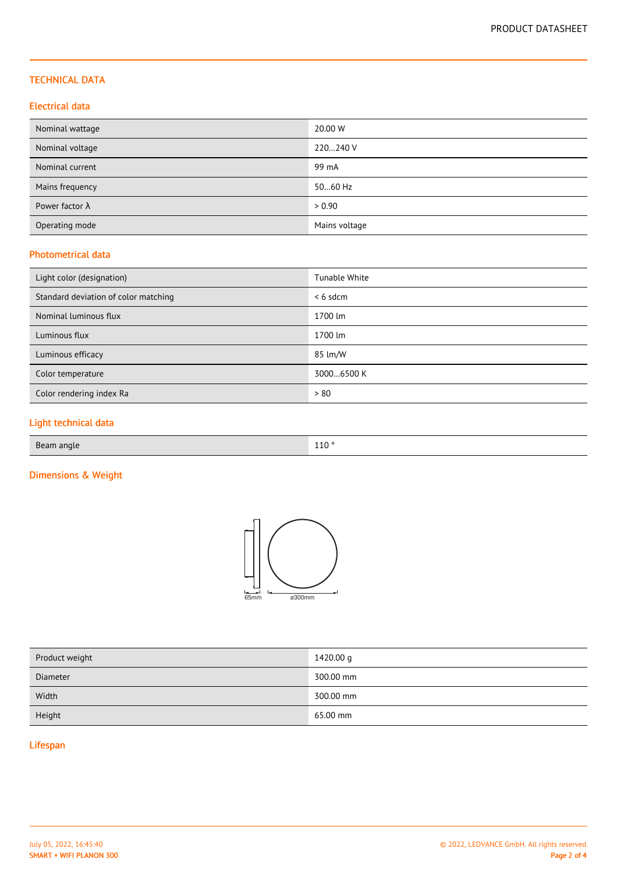#### TECHNICAL DATA

#### Electrical data

| Nominal wattage        | 20.00 W       |
|------------------------|---------------|
| Nominal voltage        | 220240 V      |
| Nominal current        | 99 mA         |
| Mains frequency        | 5060 Hz       |
| Power factor $\lambda$ | > 0.90        |
| Operating mode         | Mains voltage |

#### Photometrical data

| Light color (designation)            | Tunable White |
|--------------------------------------|---------------|
| Standard deviation of color matching | $< 6$ sdcm    |
| Nominal luminous flux                | 1700 lm       |
| Luminous flux                        | 1700 lm       |
| Luminous efficacy                    | 85 lm/W       |
| Color temperature                    | 30006500 K    |
| Color rendering index Ra             | > 80          |

# Light technical data

| Beam angle | 110° |
|------------|------|
|            |      |

# Dimensions & Weight



| 1420.00 g |
|-----------|
| 300.00 mm |
| 300.00 mm |
| 65.00 mm  |
|           |

# Lifespan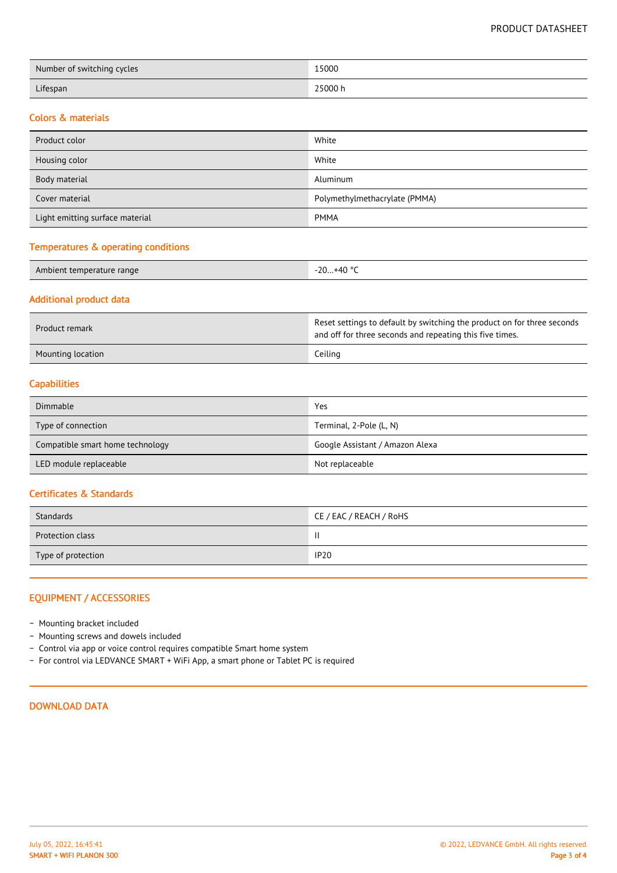| Number of switching cycles | 15000   |
|----------------------------|---------|
| Lifespan                   | 25000 h |

#### Colors & materials

| Product color                   | White                         |  |
|---------------------------------|-------------------------------|--|
| Housing color                   | White                         |  |
| Body material                   | Aluminum                      |  |
| Cover material                  | Polymethylmethacrylate (PMMA) |  |
| Light emitting surface material | <b>PMMA</b>                   |  |

# Temperatures & operating conditions

| Ambient temperature range | $+40$ °<br>$-20$ |
|---------------------------|------------------|
|---------------------------|------------------|

#### Additional product data

| Product remark    | Reset settings to default by switching the product on for three seconds<br>and off for three seconds and repeating this five times. |  |
|-------------------|-------------------------------------------------------------------------------------------------------------------------------------|--|
| Mounting location | Ceiling                                                                                                                             |  |

## **Capabilities**

| Dimmable                         | Yes                             |
|----------------------------------|---------------------------------|
| Type of connection               | Terminal, 2-Pole (L, N)         |
| Compatible smart home technology | Google Assistant / Amazon Alexa |
| LED module replaceable           | Not replaceable                 |

# Certificates & Standards

| Standards          | CE / EAC / REACH / RoHS |
|--------------------|-------------------------|
| Protection class   |                         |
| Type of protection | <b>IP20</b>             |

## EQUIPMENT / ACCESSORIES

- − Mounting bracket included
- − Mounting screws and dowels included
- − Control via app or voice control requires compatible Smart home system
- − For control via LEDVANCE SMART + WiFi App, a smart phone or Tablet PC is required

#### DOWNLOAD DATA